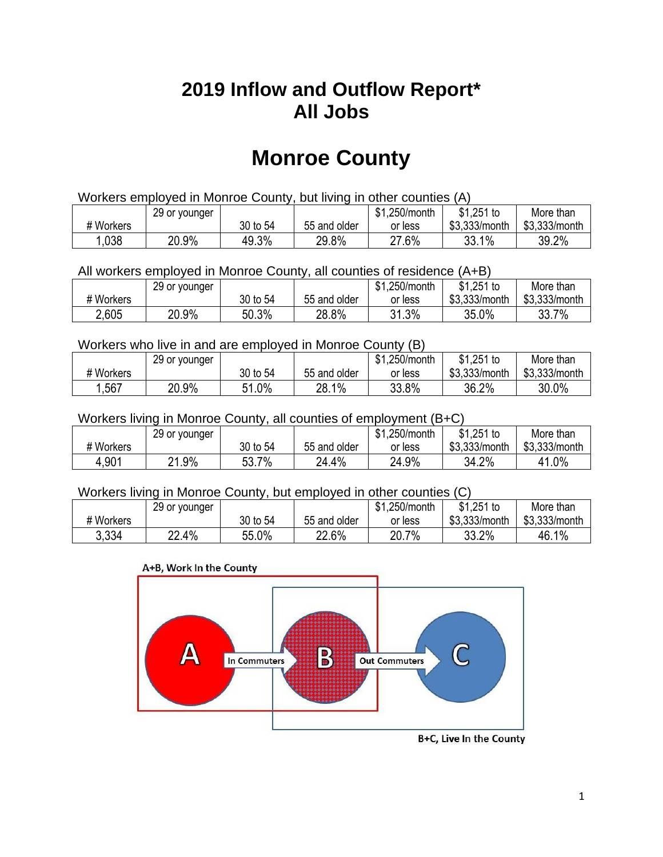### **2019 Inflow and Outflow Report\* All Jobs**

# **Monroe County**

| Workers employed in Monroe County, but living in other counties (A) |                                                            |          |              |         |               |               |  |  |  |
|---------------------------------------------------------------------|------------------------------------------------------------|----------|--------------|---------|---------------|---------------|--|--|--|
|                                                                     | $$1,251$ to<br>\$1.250/month<br>29 or younger<br>More than |          |              |         |               |               |  |  |  |
| # Workers                                                           |                                                            | 30 to 54 | 55 and older | or less | \$3.333/month | \$3,333/month |  |  |  |
| 1,038                                                               | 20.9%                                                      | 49.3%    | 29.8%        | 27.6%   | 33.1%         | 39.2%         |  |  |  |

All workers employed in Monroe County, all counties of residence (A+B)

|           | 29 or younger |          |              | \$1,250/month | $$1,251$ to   | More than     |
|-----------|---------------|----------|--------------|---------------|---------------|---------------|
| # Workers |               | 30 to 54 | 55 and older | or less       | \$3,333/month | \$3,333/month |
| 2,605     | 20.9%         | 50.3%    | 28.8%        | 31.3%         | 35.0%         | 33.7%         |

#### Workers who live in and are employed in Monroe County (B)

|           | 29 or younger |               |              | \$1,250/month | $$1,251$ to   | More than     |
|-----------|---------------|---------------|--------------|---------------|---------------|---------------|
| # Workers |               | 30 to 54      | 55 and older | or less       | \$3,333/month | \$3,333/month |
| ,567      | 20.9%         | $1.0\%$<br>54 | 28.1%        | 33.8%         | 36.2%         | 30.0%         |

#### Workers living in Monroe County, all counties of employment (B+C)

|           | 29 or younger  |          |              | \$1,250/month | $$1,251$ to   | More than     |
|-----------|----------------|----------|--------------|---------------|---------------|---------------|
| # Workers |                | 30 to 54 | 55 and older | or less       | \$3,333/month | \$3,333/month |
| 4,901     | $.9\%$<br>ິດ 4 | 53.7%    | 24.4%        | 24.9%         | 34.2%         | 41.0%         |

#### Workers living in Monroe County, but employed in other counties (C)

|           | 29 or younger |          |              | \$1,250/month | \$1,251 to    | More than     |
|-----------|---------------|----------|--------------|---------------|---------------|---------------|
| # Workers |               | 30 to 54 | 55 and older | or less       | \$3,333/month | \$3,333/month |
| 3,334     | 22.4%         | 55.0%    | 22.6%        | 20.7%         | 33.2%         | 46.1%         |

#### A+B, Work In the County